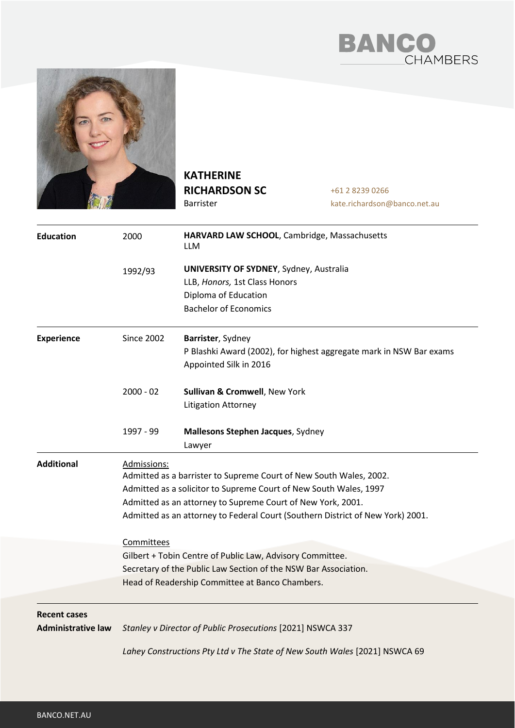



**KATHERINE RICHARDSON SC** Barrister

+61 2 8239 0266 kate.richardson@banco.net.au

| <b>Education</b>                                 | 2000                                                                                                                                                                                                                                                                                                                                                                                                                                                                                                     | HARVARD LAW SCHOOL, Cambridge, Massachusetts<br><b>LLM</b>                                                                               |
|--------------------------------------------------|----------------------------------------------------------------------------------------------------------------------------------------------------------------------------------------------------------------------------------------------------------------------------------------------------------------------------------------------------------------------------------------------------------------------------------------------------------------------------------------------------------|------------------------------------------------------------------------------------------------------------------------------------------|
|                                                  | 1992/93                                                                                                                                                                                                                                                                                                                                                                                                                                                                                                  | <b>UNIVERSITY OF SYDNEY, Sydney, Australia</b><br>LLB, Honors, 1st Class Honors<br>Diploma of Education<br><b>Bachelor of Economics</b>  |
| <b>Experience</b>                                | <b>Since 2002</b>                                                                                                                                                                                                                                                                                                                                                                                                                                                                                        | Barrister, Sydney<br>P Blashki Award (2002), for highest aggregate mark in NSW Bar exams<br>Appointed Silk in 2016                       |
|                                                  | $2000 - 02$                                                                                                                                                                                                                                                                                                                                                                                                                                                                                              | Sullivan & Cromwell, New York<br><b>Litigation Attorney</b>                                                                              |
|                                                  | 1997 - 99                                                                                                                                                                                                                                                                                                                                                                                                                                                                                                | Mallesons Stephen Jacques, Sydney<br>Lawyer                                                                                              |
| <b>Additional</b>                                | Admissions:<br>Admitted as a barrister to Supreme Court of New South Wales, 2002.<br>Admitted as a solicitor to Supreme Court of New South Wales, 1997<br>Admitted as an attorney to Supreme Court of New York, 2001.<br>Admitted as an attorney to Federal Court (Southern District of New York) 2001.<br>Committees<br>Gilbert + Tobin Centre of Public Law, Advisory Committee.<br>Secretary of the Public Law Section of the NSW Bar Association.<br>Head of Readership Committee at Banco Chambers. |                                                                                                                                          |
| <b>Recent cases</b><br><b>Administrative law</b> |                                                                                                                                                                                                                                                                                                                                                                                                                                                                                                          | Stanley v Director of Public Prosecutions [2021] NSWCA 337<br>Lahey Constructions Pty Ltd v The State of New South Wales [2021] NSWCA 69 |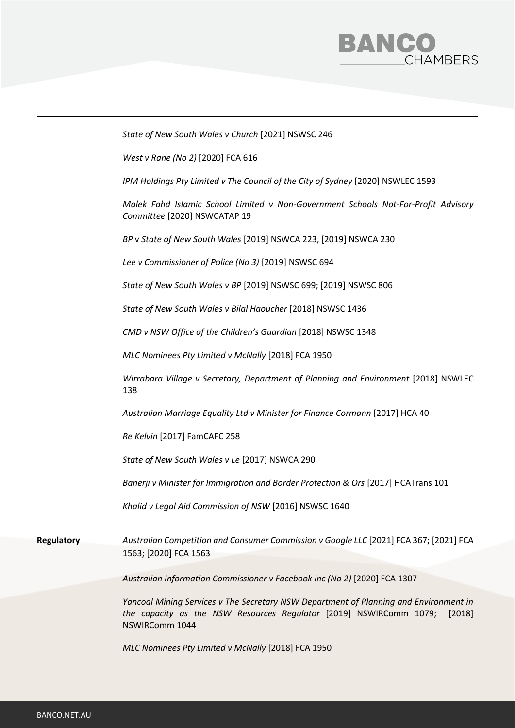

|                   | State of New South Wales v Church [2021] NSWSC 246                                                                                                                                      |
|-------------------|-----------------------------------------------------------------------------------------------------------------------------------------------------------------------------------------|
|                   | West v Rane (No 2) [2020] FCA 616                                                                                                                                                       |
|                   | IPM Holdings Pty Limited v The Council of the City of Sydney [2020] NSWLEC 1593                                                                                                         |
|                   | Malek Fahd Islamic School Limited v Non-Government Schools Not-For-Profit Advisory<br>Committee [2020] NSWCATAP 19                                                                      |
|                   | BP v State of New South Wales [2019] NSWCA 223, [2019] NSWCA 230                                                                                                                        |
|                   | Lee v Commissioner of Police (No 3) [2019] NSWSC 694                                                                                                                                    |
|                   | State of New South Wales v BP [2019] NSWSC 699; [2019] NSWSC 806                                                                                                                        |
|                   | State of New South Wales v Bilal Haoucher [2018] NSWSC 1436                                                                                                                             |
|                   | CMD v NSW Office of the Children's Guardian [2018] NSWSC 1348                                                                                                                           |
|                   | MLC Nominees Pty Limited v McNally [2018] FCA 1950                                                                                                                                      |
|                   | Wirrabara Village v Secretary, Department of Planning and Environment [2018] NSWLEC<br>138                                                                                              |
|                   | Australian Marriage Equality Ltd v Minister for Finance Cormann [2017] HCA 40                                                                                                           |
|                   | Re Kelvin [2017] FamCAFC 258                                                                                                                                                            |
|                   | State of New South Wales v Le [2017] NSWCA 290                                                                                                                                          |
|                   | Banerji v Minister for Immigration and Border Protection & Ors [2017] HCATrans 101                                                                                                      |
|                   | Khalid v Legal Aid Commission of NSW [2016] NSWSC 1640                                                                                                                                  |
| <b>Regulatory</b> | Australian Competition and Consumer Commission v Google LLC [2021] FCA 367; [2021] FCA                                                                                                  |
|                   | 1563; [2020] FCA 1563                                                                                                                                                                   |
|                   | Australian Information Commissioner v Facebook Inc (No 2) [2020] FCA 1307                                                                                                               |
|                   | Yancoal Mining Services v The Secretary NSW Department of Planning and Environment in<br>the capacity as the NSW Resources Regulator [2019] NSWIRComm 1079;<br>[2018]<br>NSWIRComm 1044 |
|                   | MLC Nominees Pty Limited v McNally [2018] FCA 1950                                                                                                                                      |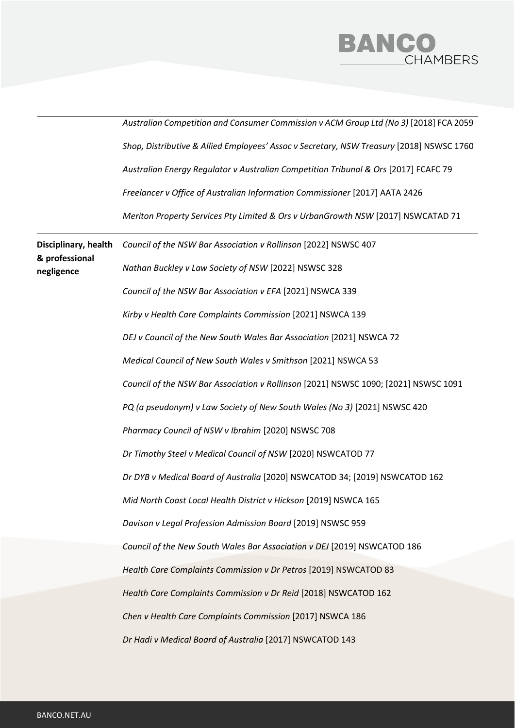

|                                                      | Australian Competition and Consumer Commission v ACM Group Ltd (No 3) [2018] FCA 2059    |
|------------------------------------------------------|------------------------------------------------------------------------------------------|
|                                                      | Shop, Distributive & Allied Employees' Assoc v Secretary, NSW Treasury [2018] NSWSC 1760 |
|                                                      | Australian Energy Regulator v Australian Competition Tribunal & Ors [2017] FCAFC 79      |
|                                                      | Freelancer v Office of Australian Information Commissioner [2017] AATA 2426              |
|                                                      | Meriton Property Services Pty Limited & Ors v UrbanGrowth NSW [2017] NSWCATAD 71         |
| Disciplinary, health<br>& professional<br>negligence | Council of the NSW Bar Association v Rollinson [2022] NSWSC 407                          |
|                                                      | Nathan Buckley v Law Society of NSW [2022] NSWSC 328                                     |
|                                                      | Council of the NSW Bar Association v EFA [2021] NSWCA 339                                |
|                                                      | Kirby v Health Care Complaints Commission [2021] NSWCA 139                               |
|                                                      | DEJ v Council of the New South Wales Bar Association [2021] NSWCA 72                     |
|                                                      | Medical Council of New South Wales v Smithson [2021] NSWCA 53                            |
|                                                      | Council of the NSW Bar Association v Rollinson [2021] NSWSC 1090; [2021] NSWSC 1091      |
|                                                      | PQ (a pseudonym) v Law Society of New South Wales (No 3) [2021] NSWSC 420                |
|                                                      | Pharmacy Council of NSW v Ibrahim [2020] NSWSC 708                                       |
|                                                      | Dr Timothy Steel v Medical Council of NSW [2020] NSWCATOD 77                             |
|                                                      | Dr DYB v Medical Board of Australia [2020] NSWCATOD 34; [2019] NSWCATOD 162              |
|                                                      | Mid North Coast Local Health District v Hickson [2019] NSWCA 165                         |
|                                                      | Davison v Legal Profession Admission Board [2019] NSWSC 959                              |
|                                                      | Council of the New South Wales Bar Association v DEJ [2019] NSWCATOD 186                 |
|                                                      | Health Care Complaints Commission v Dr Petros [2019] NSWCATOD 83                         |
|                                                      | Health Care Complaints Commission v Dr Reid [2018] NSWCATOD 162                          |
|                                                      | Chen v Health Care Complaints Commission [2017] NSWCA 186                                |
|                                                      | Dr Hadi v Medical Board of Australia [2017] NSWCATOD 143                                 |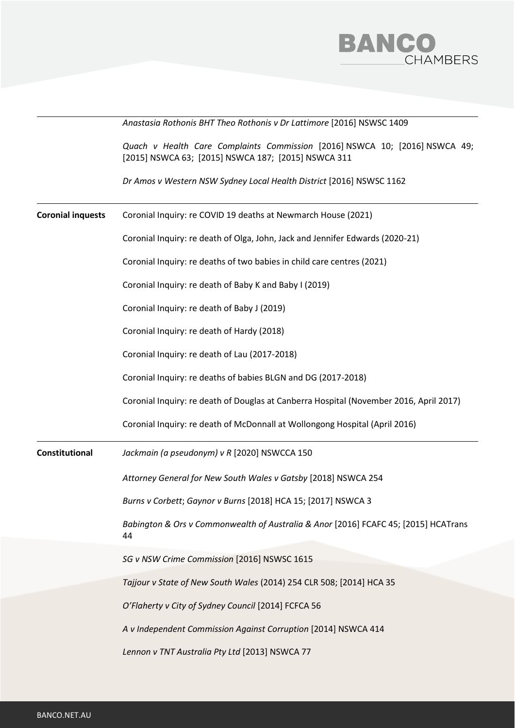

|                          | Anastasia Rothonis BHT Theo Rothonis v Dr Lattimore [2016] NSWSC 1409                                                              |  |  |  |
|--------------------------|------------------------------------------------------------------------------------------------------------------------------------|--|--|--|
|                          | Quach v Health Care Complaints Commission [2016] NSWCA 10; [2016] NSWCA 49;<br>[2015] NSWCA 63; [2015] NSWCA 187; [2015] NSWCA 311 |  |  |  |
|                          | Dr Amos v Western NSW Sydney Local Health District [2016] NSWSC 1162                                                               |  |  |  |
| <b>Coronial inquests</b> | Coronial Inquiry: re COVID 19 deaths at Newmarch House (2021)                                                                      |  |  |  |
|                          | Coronial Inquiry: re death of Olga, John, Jack and Jennifer Edwards (2020-21)                                                      |  |  |  |
|                          | Coronial Inquiry: re deaths of two babies in child care centres (2021)                                                             |  |  |  |
|                          | Coronial Inquiry: re death of Baby K and Baby I (2019)                                                                             |  |  |  |
|                          | Coronial Inquiry: re death of Baby J (2019)                                                                                        |  |  |  |
|                          | Coronial Inquiry: re death of Hardy (2018)                                                                                         |  |  |  |
|                          | Coronial Inquiry: re death of Lau (2017-2018)                                                                                      |  |  |  |
|                          | Coronial Inquiry: re deaths of babies BLGN and DG (2017-2018)                                                                      |  |  |  |
|                          | Coronial Inquiry: re death of Douglas at Canberra Hospital (November 2016, April 2017)                                             |  |  |  |
|                          | Coronial Inquiry: re death of McDonnall at Wollongong Hospital (April 2016)                                                        |  |  |  |
| Constitutional           | Jackmain (a pseudonym) v R [2020] NSWCCA 150                                                                                       |  |  |  |
|                          | Attorney General for New South Wales v Gatsby [2018] NSWCA 254                                                                     |  |  |  |
|                          | Burns v Corbett; Gaynor v Burns [2018] HCA 15; [2017] NSWCA 3                                                                      |  |  |  |
|                          | Babington & Ors v Commonwealth of Australia & Anor [2016] FCAFC 45; [2015] HCATrans<br>44                                          |  |  |  |
|                          | SG v NSW Crime Commission [2016] NSWSC 1615                                                                                        |  |  |  |
|                          | Tajjour v State of New South Wales (2014) 254 CLR 508; [2014] HCA 35                                                               |  |  |  |
|                          | O'Flaherty v City of Sydney Council [2014] FCFCA 56                                                                                |  |  |  |
|                          | A v Independent Commission Against Corruption [2014] NSWCA 414                                                                     |  |  |  |
|                          | Lennon v TNT Australia Pty Ltd [2013] NSWCA 77                                                                                     |  |  |  |